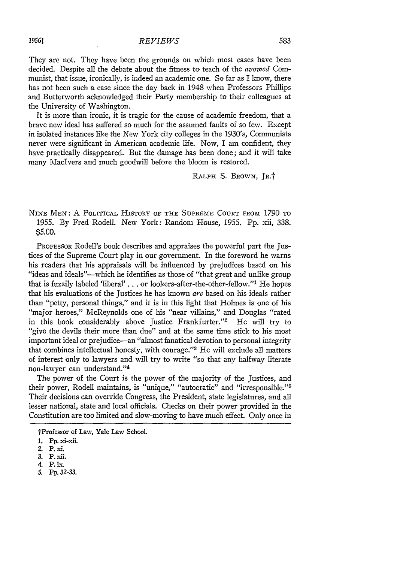They are not. They have been the grounds on which most cases have been decided. Despite all the debate about the fitness to teach of the *avowed* Communist, that issue, ironically, is indeed an academic one. So far as I know, there has not been such a case since the day back in 1948 when Professors Phillips and Butterworth acknowledged their Party membership to their colleagues at the University of Washington.

It is more than ironic, it is tragic for the cause of academic freedom, that a brave new ideal has suffered so much for the assumed faults of so few. Except in isolated instances like the New York city colleges in the 1930's, Communists never were significant in American academic life. Now, I am confident, they have practically disappeared. But the damage has been done; and it will take many Maclvers and much goodwill before the bloom is restored.

RALPH S. BROWN, JR.<sup>+</sup>

NINE **MEN: A POLITICAL HISTORY OF THE SUPREME COURT FROM 1790 TO** 1955. By Fred Rodell. New York: Random House, 1955. Pp. xii, 338. \$5.C0.

PROFESSOR Rodell's book describes and appraises the powerful part the Justices of the Supreme Court play in our government. In the foreword he warns his readers that his appraisals will be influenced **by** prejudices based on his "ideas and ideals"---which he identifies as those of "that great and unlike group that is fuzzily labeled 'liberal' **. .** or lookers-after-the-other-fellow."' He hopes that his evaluations of the Justices he has known are based on his ideals rather than "petty, personal things," and it is in this light that Holmes is one of his "major heroes," McReynolds one of his "near villains," and Douglas "rated in this book considerably above Justice Frankfurter."<sup>2</sup> He will try to "give the devils their more than due" and at the same time stick to his most important ideal or prejudice-an "almost fanatical devotion to personal integrity that combines intellectual honesty, with courage."<sup>3</sup> He will exclude all matters of interest only to lawyers and will try to write "so that any halfway literate non-lawyer can understand."'4

The power of the Court is the power of the majority of the Justices, and their power, Rodell maintains, is "unique," "autocratic" and "irresponsible."<sup>5</sup> Their decisions can override Congress, the President, state legislatures, and all lesser national, state and local officials. Checks on their power provided in the Constitution are too limited and slow-moving to have much effect. Only once in

5. Pp. *32-33.*

tProfessor of Law, Yale Law School.

<sup>1.</sup> Pp. xi-xii.

<sup>2.</sup> **P.** xi.

**<sup>3.</sup> P.** xii.

**<sup>4.</sup> P. Lx.**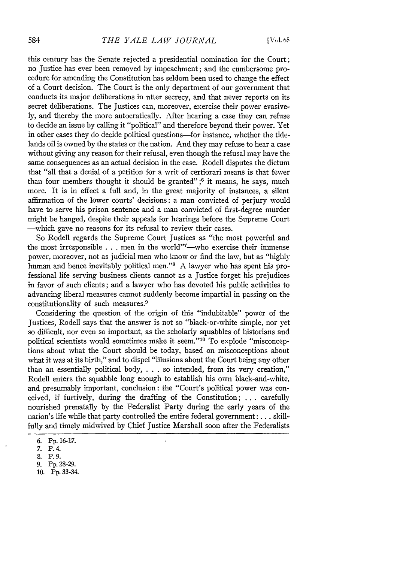this century has the Senate rejected a presidential nomination for the Court; no Justice has ever been removed by impeachment; and the cumbersome procedure for amending the Constitution has seldom been used to change the effect of a Court decision. The Court is the only department of our government that conducts its major deliberations in utter secrecy, and that never reports on its secret deliberations. The Justices can, moreover, exercise their power evasively, and thereby the more autocratically. After hearing a case they can refuse to decide an issue by calling it "political" and therefore beyond their power. Yet in other cases they do decide political questions-for instance, whether the tidelands oil is owned by the states or the nation. And they may refuse to hear a case without giving any reason for their refusal, even though the refusal may have the same consequences as an actual decision in the case. Rodell disputes the dictum that "all that a denial of a petition for a writ of certiorari means is that fewer than four members thought it should be granted"; $6$  it means, he says, much more. It is in effect a full and, in the great majority of instances, a silent affirmation of the lower courts' decisions: a man convicted of perjury would have to serve his prison sentence and a man convicted of first-degree murder might be hanged, despite their appeals for hearings before the Supreme Court -which gave no reasons for its refusal to review their cases.

So Rodell regards the Supreme Court Justices as "the most powerful and the most irresponsible . . . men in the world"<sup>7</sup>-who exercise their immense power, moreover, not as judicial men who know or find the law, but as "highly human and hence inevitably political men."<sup>8</sup> A lawyer who has spent his professional life serving business clients cannot as a Justice forget his prejudices in favor of such clients; and a lawyer who has devoted his public activities to advancing liberal measures cannot suddenly become impartial in passing on the constitutionality of such measures. <sup>9</sup>

Considering the question of the origin of this "indubitable" power of the Justices, Rodell says that the answer is not so "black-or-white simple, nor yet so difficult, nor even so important, as the scholarly squabbles of historians and political scientists would sometimes make it seem."<sup>10</sup> To explode "misconceptions about what the Court should be today, based on misconceptions about what it was at its birth," and to dispel "illusions about the Court being any other than an essentially political body, . . . so intended, from its very creation," Rodell enters the squabble long enough to establish his own black-and-white, and presumably important, conclusion: the "Court's political power was conceived, if furtively, during the drafting of the Constitution; . **.** . carefully nourished prenatally by the Federalist Party during the early years of the nation's life while that party controlled the entire federal government: ... skillfully and timely midwived by Chief Justice Marshall soon after the Federalists

<sup>6.</sup> Pp. 16-17.

<sup>7.</sup> P.4.

**S.** P.9.

<sup>9.</sup> Pp. 28-29.

<sup>10.</sup> Pp. 33-34.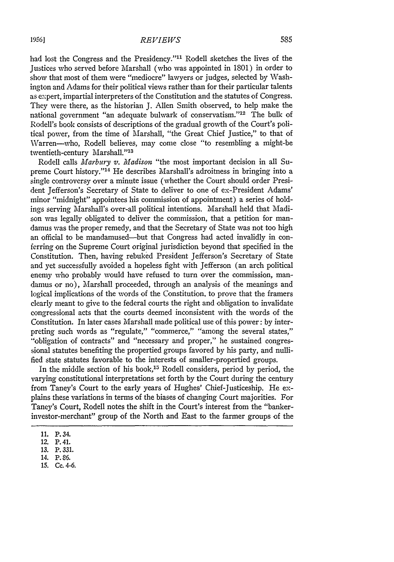had lost the Congress and the Presidency."<sup>11</sup> Rodell sketches the lives of the Justices who served before Marshall (who was appointed in 1801) in order to show that most of them were "mediocre" lawyers or judges, selected by Washington and Adams for their political views rather than for their particular talents as expert, impartial interpreters of the Constitution and the statutes of Congress. They were there, as the historian J. Allen Smith observed, to help make the national government "an adequate bulwark of conservatism."<sup>12</sup> The bulk of Rodell's book consists of descriptions of the gradual growth of the Court's political power, from the time of Marshall, "the Great Chief Justice," to that of Warren-who, Rodell believes, may come close "to resembling a might-be twentieth-century Marshall."13

Rodell calls *Marbury v. Madison* "the most important decision in all Supreme Court history."<sup>14</sup> He describes Marshall's adroitness in bringing into a single controversy over a minute issue (whether the Court should order President Jefferson's Secretary of State to deliver to one of ex-President Adams' minor "midnight" appointees his commission of appointment) a series of holdings serving Marshall's over-all political intentions. Marshall held that Madison was legally obligated to deliver the commission, that a petition for mandamus was the proper remedy, and that the Secretary of State was not too high an official to be mandamused-but that Congress had acted invalidly in conferring on the Supreme Court original jurisdiction beyond that specified in the Constitution. Then, having rebuked President Jefferson's Secretary of State and yet successfully avoided a hopeless fight with Jefferson (an arch political enemy who probably would have refused to turn over the commission, mandamus or no), Marshall proceeded, through an analysis of the meanings and logical implications of the words of the Constitution. to prove that the framers clearly meant to give to the federal courts the right and obligation to invalidate congressional acts that the courts deemed inconsistent with the words of the Constitution. In later cases Marshall made political use of this power: by interpreting such words as "regulate," "commerce," "among the several states," "obligation of contracts" and "necessary and proper," he sustained congressional statutes benefiting the propertied groups favored by his party, and nullified state statutes favorable to the interests of smaller-propertied groups.

In the middle section of his book,<sup>15</sup> Rodell considers, period by period, the varying constitutional interpretations set forth by the Court during the century from Taney's Court to the early years of Hughes' Chief-Justiceship. He explains these variations in terms of the biases of changing Court majorities. For Taney's Court, Rodell notes the shift in the Court's interest from the "bankerinvestor-merchant" group of the North and East to the farmer groups of the

15. Cc. 4-6.

<sup>11.</sup> P. 34.

<sup>12.</sup> P. 41.

<sup>13.</sup> P. 331.

<sup>14.</sup> P. **86.**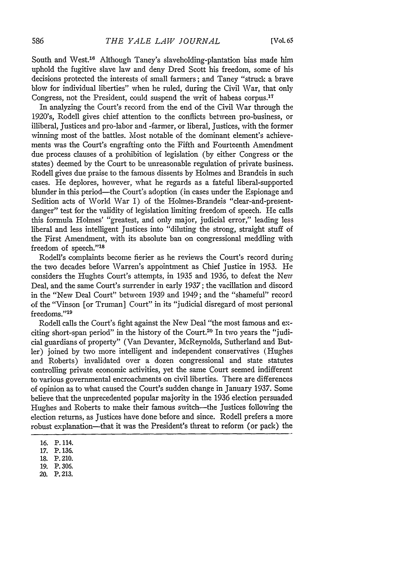South and West.<sup>16</sup> Although Taney's slaveholding-plantation bias made him uphold the fugitive slave law and deny Dred Scott his freedom, some of his decisions protected the interests of small farmers; and Taney "struck a brave blow for individual liberties" when he ruled, during the Civil War, that only Congress, not the President, could suspend the writ of habeas corpus.<sup>17</sup>

In analyzing the Court's record from the end of the Civil War through the 1920's, Rodell gives chief attention to the conflicts between pro-business, or illiberal, Justices and pro-labor and -farmer, or liberal, Justices, with the former winning most of the battles. Most notable of the dominant element's achievements was the Court's engrafting onto the Fifth and Fourteenth Amendment due process clauses of a prohibition of legislation (by either Congress or the states) deemed by the Court to be unreasonable regulation of private business. Rodell gives due praise to the famous dissents by Holmes and Brandeis in such cases. He deplores, however, what he regards as a fateful liberal-supported blunder in this period-the Court's adoption (in cases under the Espionage and Sedition acts of World War I) of the Holmes-Brandeis "clear-and-presentdanger" test for the validity of legislation limiting freedom of speech. He calls this formula Holmes' "greatest, and only major, judicial error," leading less liberal and less intelligent Justices into "diluting the strong, straight stuff of the First Amendment, with its absolute ban on congressional meddling with freedom of speech."<sup>18</sup>

Rodell's complaints become fierier as he reviews the Court's record during the two decades before Warren's appointment as Chief Justice in **1953.** He considers the Hughes Court's attempts, in 1935 and 1936, to defeat the New Deal, and the same Court's surrender in early 1937; the vacillation and discord in the "New Deal Court" between 1939 and 1949; and the "shameful" record of the "Vinson [or Truman] Court" in its "judicial disregard of most personal freedoms."<sup>19</sup>

Rodell calls the Court's fight against the New Deal "the most famous and exciting short-span period" in the history of the Court.20 In two years the "judicial guardians of property" (Van Devanter, McReynolds, Sutherland and Butler) joined **by** two more intelligent and independent conservatives (Hughes and Roberts) invalidated over a dozen congressional and state statutes controlling private economic activities, yet the same Court seemed indifferent to various governmental encroachments on civil liberties. There are differences of opinion as to what caused the Court's sudden change in January 1937. Some believe that the unprecedented popular majority in the 1936 election persuaded Hughes and Roberts to make their famous switch-the Justices following the election returns, as Justices have done before and since. Rodell prefers a more robust explanation-that it was the President's threat to reform (or pack) the

- **16.** P. 114.
- **17.** P. 136.
- 18. P. 210.
- 19. P. 306.
- 20. P. 213.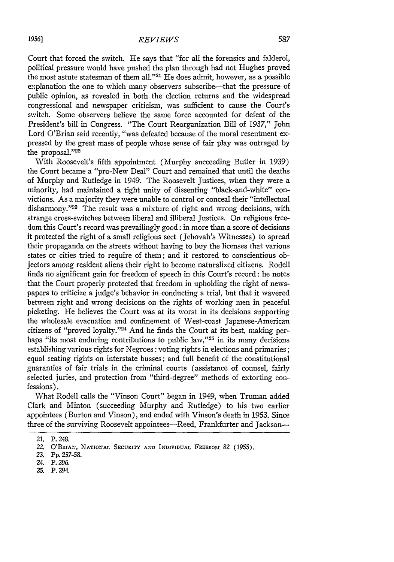Court that forced the switch. He says that "for all the forensics and falderol, political pressure would have pushed the plan through had not Hughes proved the most astute statesman of them all."'21 He does admit, however, as a possible explanation the one to which many observers subscribe-that the pressure of public opinion, as revealed in both the election returns and the widespread congressional and newspaper criticism, was sufficient to cause the Court's switch. Some observers believe the same force accounted for defeat of the President's bill in Congress. "The Court Reorganization Bill of 1937," John Lord O'Brian said recently, "was defeated because of the moral resentment expressed by the great mass of people whose sense of fair play was outraged by the proposal."22

With Roosevelt's fifth appointment (Murphy succeeding Butler in 1939) the Court became a "pro-New Deal" Court and remained that until the deaths of Murphy and Rutledge in 1949. The Roosevelt Justices, when they were a minority, had maintained a tight unity of dissenting "black-and-white" convictions. As a majority they were unable to control or conceal their "intellectual disharmony."<sup>23</sup> The result was a mixture of right and wrong decisions, with strange cross-switches between liberal and illiberal Justices. On religious freedom this Court's record was prevailingly good: in more than a score of decisions it protected the right of a small religious sect (Jehovah's Witnesses) to spread their propaganda on the streets without having to buy the licenses that various states or cities tried to require of them; and it restored to conscientious objectors among resident aliens their right to become naturalized citizens. Rodell finds no significant gain for freedom of speech in this Court's record: he notes that the Court properly protected that freedom in upholding the right of newspapers to criticize a judge's behavior in conducting a trial, but that it wavered between right and wrong decisions on the rights of working men in peaceful picketing. He believes the Court was at its worst in its decisions supporting the wholesale evacuation and confinement of West-coast Japanese-American citizens of "proved loyalty."<sup>24</sup> And he finds the Court at its best, making perhaps "its most enduring contributions to public law,"<sup>25</sup> in its many decisions establishing various rights for Negroes: voting rights in elections and primaries; equal seating rights on interstate busses; and full benefit of the constitutional guaranties of fair trials in the criminal courts (assistance of counsel, fairly selected juries, and protection from "third-degree" methods of extorting confessions).

What Rodell calls the "Vinson Court" began in 1949, when Truman added Clark and Minton (succeeding Murphy and Rutledge) to his two earlier appointees (Burton and Vinson), and ended with Vinson's death in 1953. Since three of the surviving Roosevelt appointees-Reed, Frankfurter and Jackson-

*<sup>21.</sup>* P. 248.

*<sup>22.</sup>* O'BRrAN, **NATIONAL SECURITY AND INDIVIDUAL** FREEDOM **82** (1955).

*<sup>23.</sup>* Pp. 257-58.

<sup>24.</sup> P. 296.

<sup>25.</sup> P. 294.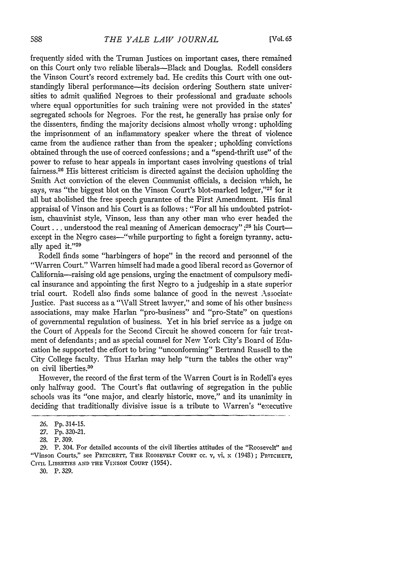frequently sided with the Truman Justices on important cases, there remained on this Court only two reliable liberals-Black and Douglas. Rodell considers the Vinson Court's record extremely bad. He credits this Court with one outstandingly liberal performance—its decision ordering Southern state universities to admit qualified Negroes to their professional and graduate schools where equal opportunities for such training were not provided in the states' segregated schools for Negroes. For the rest, he generally has praise only for the dissenters, finding the majority decisions almost wholly wrong: upholding the imprisonment of an inflammatory speaker where the threat of violence came from the audience rather than from the speaker; upholding convictions obtained through the use of coerced confessions; and a "spend-thrift use" of the power to refuse to hear appeals in important cases involving questions of trial fairness.26 His bitterest criticism is directed against the decision upholding the Smith Act conviction of the eleven Communist officials, a decision which, he says, was "the biggest blot on the Vinson Court's blot-marked ledger," $27$  for it all but abolished the free speech guarantee of the First Amendment. His final appraisal of Vinson and his Court is as follows: "For all his undoubted patriotism, chauvinist style, Vinson, less than any other man who ever headed the Court... understood the real meaning of American democracy" ;<sup>28</sup> his Courtexcept in the Negro cases—"while purporting to fight a foreign tyranny, actually aped it."<sup>29</sup>

Rodell finds some "harbingers of hope" in the record and personnel of the "Warren Court." Warren himself had made a good liberal record as Governor of California-raising old age pensions, urging the enactment of compulsory medical insurance and appointing the first Negro to a judgeship in a state superior trial court. Rodell also finds some balance of good in the newest Associate Justice. Past success as a "Wall Street lawyer," and some of his other business associations, may make Harlan "pro-business" and "pro-State" on questions of governmental regulation of business. Yet in his brief service as a judge on the Court of Appeals for the Second Circuit he showed concern for fair treatment of defendants; and as special counsel for New York City's Board of Education he supported the effort to bring "unconforming" Bertrand Russell to the City College faculty. Thus Harlan may help "turn the tables the other way" on civil liberties.<sup>30</sup>

However, the record of the first term of the Warren Court is in Rodell's eyes only halfway good. The Court's flat outlawing of segregation in the public schools was its "one major, and clearly historic, move," and its unanimity in deciding that traditionally divisive issue is a tribute to Warren's "executive

**<sup>26.</sup>** Pp. 314-15.

**<sup>27.</sup> Pp.** 320-21.

<sup>28.</sup> P. 309.

**<sup>29.</sup>** P. 304. For detailed accounts of the civil liberties attitudes of the "Roosevelt" and "Vinson Courts," see PRITCHETT, THE ROOSEVELT COURT cc. v, vi, x (1948); PRITCHETT, CIVIL LIBERTIES **AND THE** VINSON **COURT** (1954).

<sup>30.</sup> P. 329.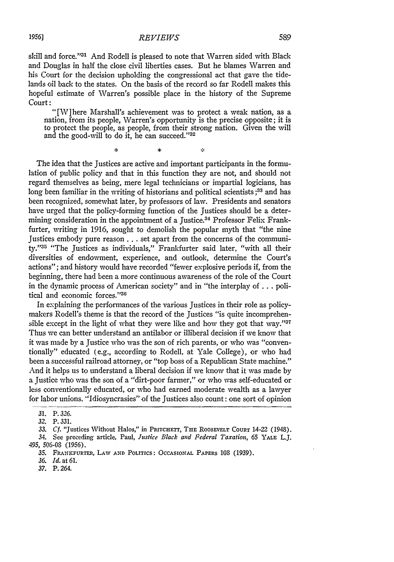## *REVIEWS*

skill and force."<sup>31</sup> And Rodell is pleased to note that Warren sided with Black and Douglas in half the close civil liberties cases. But he blames Warren and his Court for the decision upholding the congressional act that gave the tidelands oil back to the states. On the basis of the record so far Rodell makes this hopeful estimate of Warren's possible place in the history of the Supreme

'[W]here Marshall's achievement was to protect a weak nation, as a nation, from its people, Warren's opportunity is the precise opposite; it is to protect the people, as people, from their strong nation. Given the will and the good-will to do it, he can succeed."32

ģ.

¥

 $\dot{\mathbf{x}}$ 

The idea that the Justices are active and important participants in the formulation of public policy and that in this function they are not, and should not regard themselves as being, mere legal technicians or impartial logicians, has long been familiar in the writing of historians and political scientists **;33** and has been recognized, somewhat later, by professors of law. Presidents and senators have urged that the policy-forming function of the Justices should be a determining consideration in the appointment of a Justice.<sup>34</sup> Professor Felix Frankfurter, writing in 1916, sought to demolish the popular myth that "the nine Justices embody pure reason... set apart from the concerns of the community."35 "The Justices as individuals," Frankfurter said later, "with all their diversities of endowment, experience, and outlook, determine the Court's actions"; and history would have recorded "fewer explosive periods if, from the beginning, there had been a more continuous awareness of the role of the Court in the dynamic process of American society" and in "the interplay of **...** political and economic forces."36

In explaining the performances of the various Justices in their role as policymakers Rodell's theme is that the record of the Justices "is quite incomprehensible except in the light of what they were like and how they got that *way."'3 <sup>7</sup>* Thus we can better understand an antilabor or illiberal decision if we know that it was made by a Justice who was the son of rich parents, or who was "conventionally" educated (e.g., according to Rodell, at Yale College), or who had been a successful railroad attorney, or "top boss of a Republican State machine." And it helps us to understand a liberal decision if we know that it was made by a justice who was the son of a "dirt-poor farmer," or who was self-educated or less conventionally educated, or who had earned moderate wealth as a lawyer for labor unions. "Idiosyncrasies" of the Justices also count: one sort of opinion

34. See preceding article, Paul, *Justice Black and Federal Taxation, 65* YALE L.J. 495, 506-08 (1956).

*37.* P. 264,

*<sup>31.</sup>* P. *326.*

<sup>32.</sup> P. 331.

<sup>33.</sup> *Cf.* "Justices Without Halos," **in** PRITCHETT, **THE ROOSEVELT COURT** 14-22 (1948).

<sup>35.</sup> FRANKFURTER, LAW **AND POLITICS: OCCASIONAL** PAPERS **108** (1939).

*<sup>36.</sup> Id.* at 61.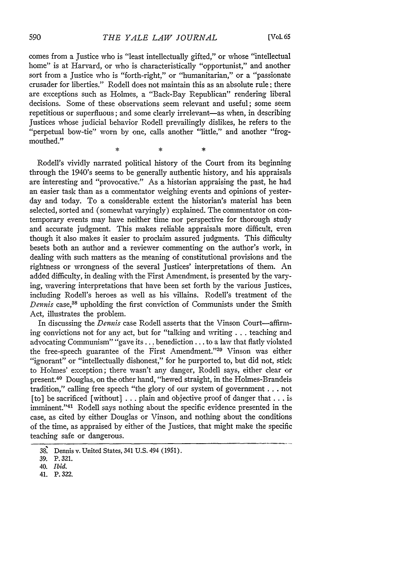comes from a Justice who is "least intellectually gifted," or whose "intellectual home" is at Harvard, or who is characteristically "opportunist," and another sort from a justice who is "forth-right," or "humanitarian," or a "passionate crusader for liberties." Rodell does not maintain this as an absolute rule; there are exceptions such as Holmes, a "Back-Bay Republican" rendering liberal decisions. Some of these observations seem relevant and useful; some seem repetitious or superfluous; and some clearly irrelevant—as when, in describing Justices whose judicial behavior Rodell prevailingly dislikes, he refers to the "perpetual bow-tie" worn by one, calls another "little," and another "frogmouthed."  $\ast$ 

Rodell's vividly narrated political history of the Court from its beginning through the 1940's seems to be generally authentic history, and his appraisals are interesting and "provocative." As a historian appraising the past, he had an easier task than as a commentator weighing events and opinions of yesterday and today. To a considerable extent the historian's material has been selected, sorted and (somewhat varyingly) explained. The commentator on contemporary events may have neither time nor perspective for thorough study and accurate judgment. This makes reliable appraisals more difficult, even though it also makes it easier to proclaim assured judgments. This difficulty besets both an author and a reviewer commenting on the author's work, in dealing with such matters as the meaning of constitutional provisions and the rightness or wrongness of the several Justices' interpretations of them. An added difficulty, in dealing with the First Amendment, is presented by the varying, wavering interpretations that have been set forth by the various Justices, including Rodell's heroes as well as his villains. Rodell's treatment of the *Dennis* case,38 upholding the first conviction of Communists under the Smith Act, illustrates the problem.

In discussing the *Dennis* case Rodell asserts that the Vinson Court-affirming convictions not for any act, but for "talking and writing... teaching and advocating Communism" "gave its... benediction.., to a law that flatly violated the free-speech guarantee of the First Amendment."<sup>39</sup> Vinson was either "ignorant" or "intellectually dishonest," for he purported to, but did not, stick to Holmes' exception; there wasn't any danger, Rodell says, either clear or present.40 Douglas, on the other hand, "hewed straight, in the Holmes-Brandeis tradition," calling free speech "the glory of our system of government **...** not [to] be sacrificed [without] . **. .** plain and objective proof of danger that **...** is imminent."<sup>41</sup> Rodell says nothing about the specific evidence presented in the case, as cited by either Douglas or Vinson, and nothing about the conditions of the time, as appraised by either of the Justices, that might make the specific teaching safe or dangerous.

<sup>38.</sup> Dennis v. United States, 341 U.S. 494 (1951).

<sup>39.</sup> P. 321.

<sup>40.</sup> *Ibid.*

<sup>41.</sup> P. 322.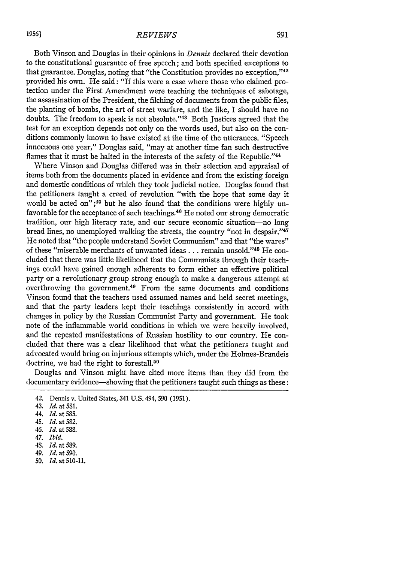Both Vinson and Douglas in their opinions in *Dennis* declared their devotion to the constitutional guarantee of free speech; and both specified exceptions to that guarantee. Douglas, noting that "the Constitution provides no exception,"42 provided his own. He said: "If this were a case where those who claimed protection under the First Amendment were teaching the techniques of sabotage, the assassination of the President, the filching of documents from the public files, the planting of bombs, the art of street warfare, and the like, I should have no doubts. The freedom to speak is not absolute."<sup>43</sup> Both Justices agreed that the test for an exception depends not only on the words used, but also on the conditions commonly known to have existed at the time of the utterances. "Speech innocuous one year," Douglas said, "may at another time fan such destructive flames that it must be halted in the interests of the safety of the Republic."<sup>44</sup>

Where Vinson and Douglas differed was in their selection and appraisal of items both from the documents placed in evidence and from the existing foreign and domestic conditions of which they took judicial notice. Douglas found that the petitioners taught a creed of revolution "with the hope that some day it would be acted on";<sup>45</sup> but he also found that the conditions were highly unfavorable for the acceptance of such teachings. 46 He noted our strong democratic tradition, our high literacy rate, and our secure economic situation-no long bread lines, no unemployed walking the streets, the country "not in despair."<sup>47</sup> He noted that "the people understand Soviet Communism" and that "the wares" of these "miserable merchants of unwanted ideas . . . remain unsold."<sup>48</sup> He concluded that there was little likelihood that the Communists through their teachings could have gained enough adherents to form either an effective political party or a revolutionary group strong enough to make a dangerous attempt at overthrowing the government.49 From the same documents and conditions Vinson found that the teachers used assumed names and held secret meetings, and that the party leaders kept their teachings consistently in accord with changes in policy by the Russian Communist Party and government. He took note of the inflammable world conditions in which we were heavily involved, and the repeated manifestations of Russian hostility to our country. He concluded that there was a clear likelihood that what the petitioners taught and advocated would bring on injurious attempts which, under the Holmes-Brandeis doctrine, we had the right to forestall.<sup>50</sup>

Douglas and Vinson might have cited more items than they did from the documentary evidence—showing that the petitioners taught such things as these:

*<sup>42.</sup>* Dennis v. United States, 341 U.S. 494, 590 (1951).

<sup>43.</sup> *Id.* at 531.

<sup>44.</sup> *Id.* at 585.

<sup>45.</sup> *Id.* at 582.

*<sup>46.</sup> Id.* at 588.

*<sup>47.</sup> Ibid.*

<sup>48.</sup> Id. at 589.

<sup>49.</sup> *Id.* at 590.

<sup>50.</sup> *Id.* at **510-11.**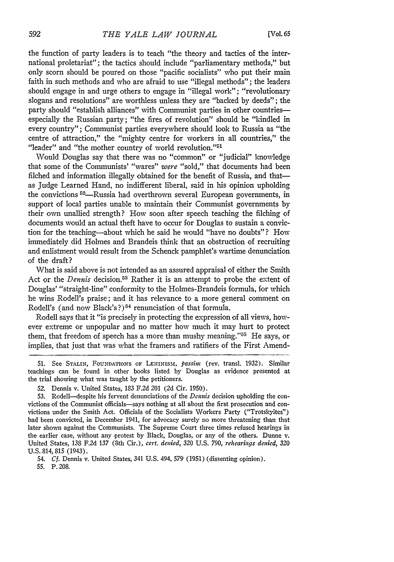the function of party leaders is to teach "the theory and tactics of the international proletariat"; the tactics should include "parliamentary methods," but only scorn should be poured on those "pacific socialists" who put their main faith in such methods and who are afraid to use "illegal methods"; the leaders should engage in and urge others to engage in "illegal work"; "revolutionary slogans and resolutions" are worthless unless they are "backed by deeds"; the party should "establish alliances" with Communist parties in other countriesespecially the Russian party; "the fires of revolution" should be "kindled in every country"; Communist parties everywhere should look to Russia as "the centre of attraction," the "mighty centre for workers in all countries," the "leader" and "the mother country of world revolution."<sup>51</sup>

Would Douglas say that there was no "common" or "judicial" knowledge that some of the Communists' "wares" were "sold," that documents had been filched and information illegally obtained for the benefit of Russia, and thatas judge Learned Hand, no indifferent liberal, said in his opinion upholding the convictions <sup>52</sup>-Russia had overthrown several European governments, in support of local parties unable to maintain their Communist governments by their own unallied strength? How soon after speech teaching the filching of documents would an actual theft have to occur for Douglas to sustain a conviction for the teaching-about which he said he would "have no doubts"? How immediately did Holmes and Brandeis think that an obstruction of recruiting and enlistment would result from the Schenck pamphlet's wartime denunciation of the draft?

What is said above is not intended as an assured appraisal of either the Smith Act or the *Dennis* decision.<sup>53</sup> Rather it is an attempt to probe the extent of Douglas' "straight-line" conformity to the Holmes-Brandeis formula, for which he wins Rodell's praise; and it has relevance to a more general comment on Rodell's (and now Black's ?) 54 renunciation of that formula.

Rodell says that it "is precisely in protecting the expression of all views, however extreme or unpopular and no matter how much it may hurt to protect them, that freedom of speech has a more than mushy meaning." $55$  He says, or implies, that just that was what the framers and ratifiers of the First Amend-

54. *Cf.* Dennis v. United States, 341 U.S. 494, 579 (1951) (dissenting opinion).

55. P. 208.

<sup>51.</sup> See STALIN, FOUNDATIONS OF LENINISM, *passim* (rev. transl. 1932). Similar teachings can be found in other books listed by Douglas as evidence presented at the trial showing what was taught by the petitioners.

<sup>52.</sup> Dennis v. United States, 183 F.2d 201 (2d Cir. 1950).

<sup>53.</sup> Rodell-despite his fervent denunciations of the *Dennis* decision upholding the convictions of the Communist officials-says nothing at all about the first prosecution and convictions under the Smith Act. Officials of the Socialists Workers Party ("Trotskyites") had been convicted, in December 1941, for advocacy surely no more threatening than that later shown against the Communists. The Supreme Court three times refused hearings in the earlier case, without any protest by Black, Douglas, or any of the others. Dunne v. United States, 138 F.2d 137 (8th Cir.), *cert. denied,* 320 U.S. 790, *rehearings denied,* 320 U.S. 814, 815 (1943).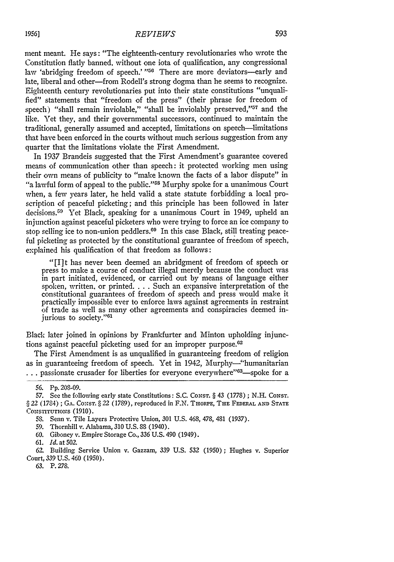ment meant. He says: "The eighteenth-century revolutionaries who wrote the Constitution flatly banned, without one iota of qualification, any congressional law 'abridging freedom of speech.' <sup>156</sup> There are more deviators-early and late, liberal and other-from Rodell's strong dogma than he seems to recognize. Eighteenth century revolutionaries put into their state constitutions "unqualified" statements that "freedom of the press" (their phrase for freedom of speech) "shall remain inviolable," "shall be inviolably preserved," $57$  and the like. Yet they, and their governmental successors, continued to maintain the traditional, generally assumed and accepted, limitations on speech-limitations that have been enforced in the courts without much serious suggestion from any quarter that the limitations violate the First Amendment.

In 1937 Brandeis suggested that the First Amendment's guarantee covered means of communication other than speech: it protected working men using their own means of publicity to "make known the facts of a labor dispute" in "a lawful form of appeal to the public."<sup>58</sup> Murphy spoke for a unanimous Court when, a few years later, he held valid a state statute forbidding a local proscription of peaceful picketing; and this principle has been followed in later decisions.<sup>59</sup> Yet Black, speaking for a unanimous Court in 1949, upheld an injunction against peaceful picketers who were trying to force an ice company to stop selling ice to non-union peddlers.<sup>60</sup> In this case Black, still treating peaceful picketing as protected by the constitutional guarantee of freedom of speech, explained his qualification of that freedom as follows:

"[I]t has never been deemed an abridgment of freedom of speech or press to make a course of conduct illegal merely because the conduct was in part initiated, evidenced, or carried out by means of language either spoken, written, or printed. . . . Such an expansive interpretation of the constitutional guarantees of freedom of speech and press would make it practically impossible ever to enforce laws against agreements in restraint of trade as well as many other agreements and conspiracies deemed injurious to society."<sup>61</sup>

Black later joined in opinions by Frankfurter and Minton upholding injunctions against peaceful picketing used for an improper purpose.<sup>62</sup>

The First Amendment is as unqualified in guaranteeing freedom of religion as in guaranteeing freedom of speech. Yet in 1942, Murphy-"humanitarian **...** passionate crusader for liberties for everyone everywhere"<sup>33</sup>—spoke for a

<sup>56.</sup> Pp. 208-09.

<sup>57.</sup> See the following early state Constitutions: S.C. CONST. § 43 (1778) ; N.H. CONST. § 22 (1784) ; GA. CONST. § 22 (1789), reproduced in F.N. THORPE, THE FEDERAL AND STATE CONSTITUTIONS (1910).

<sup>58.</sup> Senn v. Tile Layers Protective Union, 301 U.S. 468, 478, 481 (1937).

<sup>59.</sup> Thornhill v. Alabama, 310 U.S. 88 (1940).

<sup>60.</sup> Giboney v. Empire Storage Co., 336 U.S. 490 (1949).

<sup>61.</sup> *Id.* at 502.

<sup>62.</sup> Building Service Union v. Gazzam, 339 U.S. 532 (1950); Hughes v. Superior Court, 339 U.S. 460 (1950).

<sup>63.</sup> P. 278.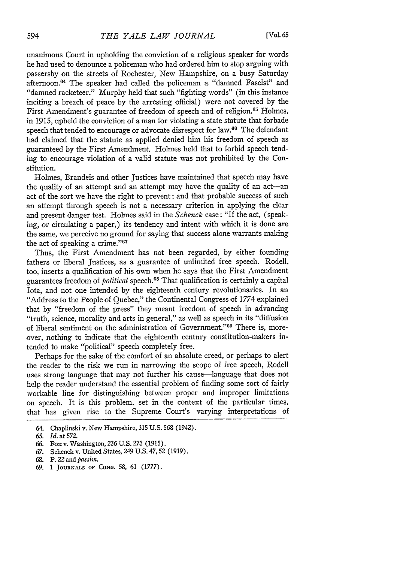unanimous Court in upholding the conviction of a religious speaker for words he had used to denounce a policeman who had ordered him to stop arguing with passersby on the streets of Rochester, New Hampshire, on a busy Saturday afternoon.<sup>64</sup> The speaker had called the policeman a "damned Fascist" and "damned racketeer." Murphy held that such "fighting words" (in this instance inciting a breach of peace by the arresting official) were not covered by the First Amendment's guarantee of freedom of speech and of religion.<sup>65</sup> Holmes, in 1915, upheld the conviction of a man for violating a state statute that forbade speech that tended to encourage or advocate disrespect for law.<sup>66</sup> The defendant had claimed that the statute as applied denied him his freedom of speech as guaranteed by the First Amendment. Holmes held that to forbid speech tending to encourage violation of a valid statute was not prohibited by the Constitution.

Holmes, Brandeis and other Justices have maintained that speech may have the quality of an attempt and an attempt may have the quality of an act-an act of the sort we have the right to prevent; and that probable success of such an attempt through speech is not a necessary criterion in applying the clear and present danger test. Holmes said in the *Schenck* case: "If the act, (speaking, or circulating a paper,) its tendency and intent with which it is done are the same, we perceive no ground for saying that success alone warrants making the act of speaking a crime." $67$ 

Thus, the First Amendment has not been regarded, by either founding fathers or liberal Justices, as a guarantee of unlimited free speech. Rodell, too, inserts a qualification of his own when he says that the First Amendment guarantees freedom of *political* speech.68 That qualification is certainly a capital Iota, and not one intended by the eighteenth century revolutionaries. In an "Address to the People of Quebec," the Continental Congress of 1774 explained that by "freedom of the press" they meant freedom of speech in advancing "truth, science, morality and arts in general," as well as speech in its "diffusion of liberal sentiment on the administration of Government."<sup>69</sup> There is, moreover, nothing to indicate that the eighteenth century constitution-makers intended to make "political" speech completely free.

Perhaps for the sake of the comfort of an absolute creed, or perhaps to alert the reader to the risk we run in narrowing the scope of free speech, Rodell uses strong language that may not further his cause-language that does not help the reader understand the essential problem of finding some sort of fairly workable line for distinguishing between proper and improper limitations on speech. It is this problem, set in the context of the particular times, that has given rise to the Supreme Court's varying interpretations of

69. 1 **JOURNALS** OF **CONG.** *58,* 61 (1777).

<sup>64.</sup> Chaplinski v. New Hampshire, 315 U.S. 568 (1942).

<sup>65.</sup> *Id.* at 572.

*<sup>66.</sup>* Fox v. Washington, **236** U.S. 273 (1915).

<sup>67.</sup> Schenck v. United States, 249 U.S. 47,52 (1919).

*<sup>68.</sup>* P. 22 and *passim.*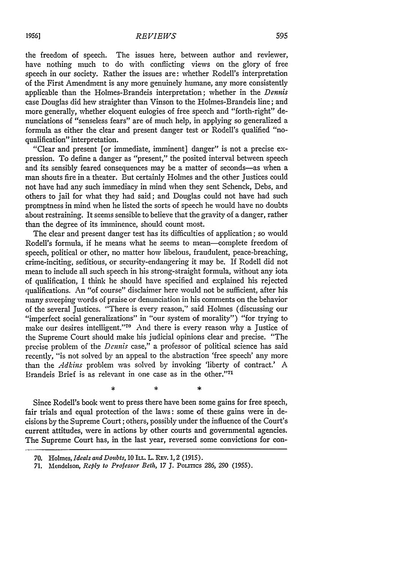the freedom of speech. The issues here, between author and reviewer, have nothing much to do with conflicting views on the glory of free speech in our society. Rather the issues are: whether Rodell's interpretation of the First Amendment is any more genuinely humane, any more consistently applicable than the Holmes-Brandeis interpretation; whether in the *Dennis* case Douglas did hew straighter than Vinson to the Holmes-Brandeis line; and more generally, whether eloquent eulogies of free speech and "forth-right" denunciations of "senseless fears" are of much help, in applying so generalized a formula as either the clear and present danger test or Rodell's qualified "no-

qualification" interpretation. "Clear and present [or immediate, imminent] danger" is not a precise expression. To define a danger as "present," the posited interval between speech and its sensibly feared consequences may be a matter of seconds-as when a man shouts fire in a theater. But certainly Holmes and the other Justices could not have had any such immediacy in mind when they sent Schenck, Debs, and others to jail for what they had said; and Douglas could not have had such promptness in mind when he listed the sorts of speech he would have no doubts about restraining. It seems sensible to believe that the gravity of a danger, rather than the degree of its imminence, should count most.

The clear and present danger test has its difficulties of application; so would Rodell's formula, if he means what he seems to mean-complete freedom of speech, political or other, no matter how libelous, fraudulent, peace-breaching, crime-inciting, seditious, or security-endangering it may be. If Rodell did not mean to include all such speech in his strong-straight formula, without any iota of qualification, I think he should have specified and explained his rejected qualifications. An "of course" disclaimer here would not be sufficient, after his many sweeping words of praise or denunciation in his comments on the behavior of the several Justices. "There is every reason," said Holmes (discussing our "imperfect social generalizations" in "our system of morality") "for trying to make our desires intelligent."<sup>70</sup> And there is every reason why a Justice of the Supreme Court should make his judicial opinions clear and precise. "The precise problem of the *Dennis* case," a professor of political science has said recently, "is not solved by an appeal to the abstraction 'free speech' any more than the *Adkins* problem was solved by invoking 'liberty of contract.' A Brandeis Brief is as relevant in one case as in the other."71

Since Rodell's book went to press there have been some gains for free speech, fair trials and equal protection of the laws: some of these gains were in decisions by the Supreme Court; others, possibly under the influence of the Court's current attitudes, were in actions by other courts and governmental agencies. The Supreme Court has, in the last year, reversed some convictions for con-

s.

<sup>70.</sup> Holmes, *Ideals and Doubts,* **10 ILL.** L. REV. 1, 2 (1915).

<sup>71.</sup> Mendelson, *Reply to Professor Beth*, 17 J. Politics 286, 290 (1955).